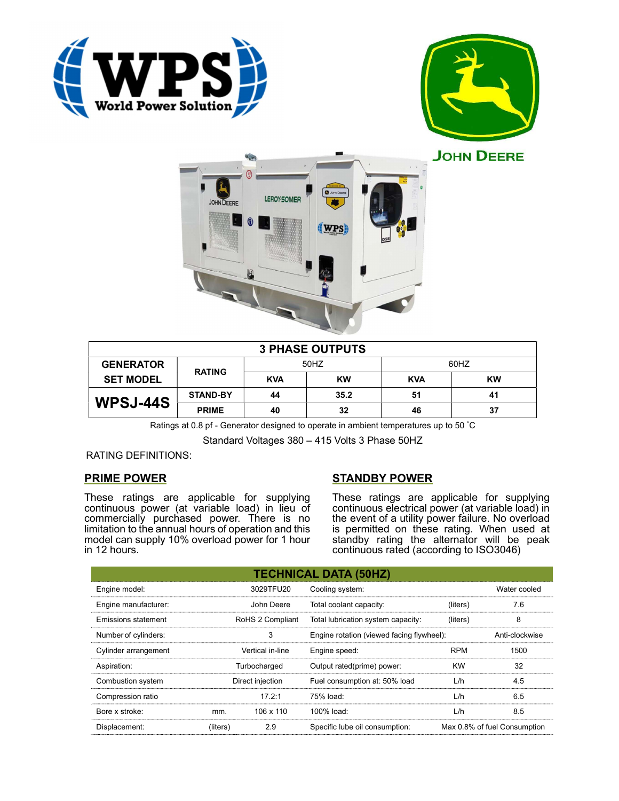





|                  |                 |            | <b>3 PHASE OUTPUTS</b> |            |           |
|------------------|-----------------|------------|------------------------|------------|-----------|
| <b>GENERATOR</b> | <b>RATING</b>   | 50HZ       |                        | 60HZ       |           |
| <b>SET MODEL</b> |                 | <b>KVA</b> | <b>KW</b>              | <b>KVA</b> | <b>KW</b> |
| WPSJ-44S         | <b>STAND-BY</b> | 44         | 35.2                   | 51         | 41        |
|                  | <b>PRIME</b>    | 40         | 32                     | 46         | 37        |

Ratings at 0.8 pf - Generator designed to operate in ambient temperatures up to 50 °C

Standard Voltages 380 – 415 Volts 3 Phase 50HZ

# RATING DEFINITIONS:

# PRIME POWER

These ratings are applicable for supplying continuous power (at variable load) in lieu of commercially purchased power. There is no limitation to the annual hours of operation and this model can supply 10% overload power for 1 hour in 12 hours.

# STANDBY POWER

These ratings are applicable for supplying continuous electrical power (at variable load) in the event of a utility power failure. No overload is permitted on these rating. When used at standby rating the alternator will be peak continuous rated (according to ISO3046)

|                            |          |                  | <b>TECHNICAL DATA (50HZ)</b>              |            |                              |
|----------------------------|----------|------------------|-------------------------------------------|------------|------------------------------|
| Engine model:              |          | 3029TFU20        | Cooling system:                           |            | Water cooled                 |
| Engine manufacturer:       |          | John Deere       | Total coolant capacity:                   | (liters)   | 7.6                          |
| <b>Emissions statement</b> |          | RoHS 2 Compliant | Total lubrication system capacity:        | (liters)   | 8                            |
| Number of cylinders:       |          | 3                | Engine rotation (viewed facing flywheel): |            | Anti-clockwise               |
| Cylinder arrangement       |          | Vertical in-line | Engine speed:                             | <b>RPM</b> | 1500                         |
| Aspiration:                |          | Turbocharged     | Output rated(prime) power:                | <b>KW</b>  | 32                           |
| Combustion system          |          | Direct injection | Fuel consumption at: 50% load             | L/h        | 4.5                          |
| Compression ratio          |          | 17.2:1           | 75% load:                                 | L/h        | 6.5                          |
| Bore x stroke:             | mm.      | 106 x 110        | 100% load:                                | L/h        | 8.5                          |
| Displacement:              | (liters) | 2.9              | Specific lube oil consumption:            |            | Max 0.8% of fuel Consumption |